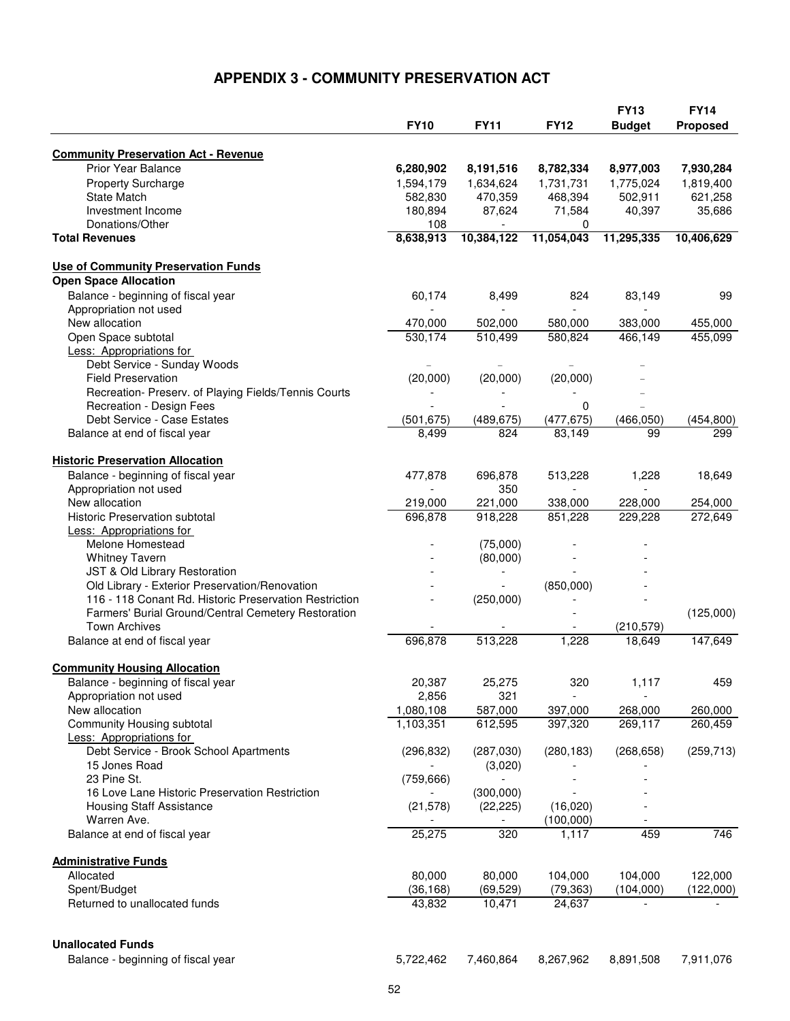## **APPENDIX 3 - COMMUNITY PRESERVATION ACT**

|                                                                               |                  |             |                          | <b>FY13</b>            | <b>FY14</b> |
|-------------------------------------------------------------------------------|------------------|-------------|--------------------------|------------------------|-------------|
|                                                                               | <b>FY10</b>      | <b>FY11</b> | <b>FY12</b>              | <b>Budget</b>          | Proposed    |
|                                                                               |                  |             |                          |                        |             |
| <b>Community Preservation Act - Revenue</b><br><b>Prior Year Balance</b>      |                  |             |                          |                        |             |
|                                                                               | 6,280,902        | 8,191,516   | 8,782,334<br>1,731,731   | 8,977,003<br>1,775,024 | 7,930,284   |
| <b>Property Surcharge</b>                                                     | 1,594,179        | 1,634,624   |                          |                        | 1,819,400   |
| <b>State Match</b>                                                            | 582,830          | 470,359     | 468,394                  | 502,911                | 621,258     |
| Investment Income                                                             | 180,894          | 87,624      | 71,584                   | 40,397                 | 35,686      |
| Donations/Other<br><b>Total Revenues</b>                                      | 108<br>8,638,913 | 10,384,122  | 0<br>11,054,043          | 11,295,335             | 10,406,629  |
|                                                                               |                  |             |                          |                        |             |
| <b>Use of Community Preservation Funds</b>                                    |                  |             |                          |                        |             |
| <b>Open Space Allocation</b>                                                  |                  |             |                          |                        |             |
| Balance - beginning of fiscal year                                            | 60,174           | 8,499       | 824                      | 83,149                 | 99          |
| Appropriation not used                                                        |                  |             | $\overline{\phantom{a}}$ |                        |             |
| New allocation                                                                | 470,000          | 502,000     | 580,000                  | 383,000                | 455,000     |
| Open Space subtotal                                                           | 530,174          | 510,499     | 580,824                  | 466,149                | 455,099     |
| <b>Less: Appropriations for</b>                                               |                  |             |                          |                        |             |
| Debt Service - Sunday Woods                                                   |                  |             |                          |                        |             |
| <b>Field Preservation</b>                                                     | (20,000)         | (20,000)    | (20,000)                 |                        |             |
| Recreation- Preserv. of Playing Fields/Tennis Courts                          |                  |             |                          |                        |             |
| Recreation - Design Fees                                                      |                  |             | 0                        |                        |             |
| Debt Service - Case Estates                                                   | (501, 675)       | (489, 675)  | (477, 675)               | (466, 050)             | (454, 800)  |
| Balance at end of fiscal year                                                 | 8,499            | 824         | 83,149                   | 99                     | 299         |
|                                                                               |                  |             |                          |                        |             |
| <b>Historic Preservation Allocation</b><br>Balance - beginning of fiscal year | 477,878          | 696,878     | 513,228                  | 1,228                  | 18,649      |
| Appropriation not used                                                        |                  | 350         |                          |                        |             |
| New allocation                                                                | 219,000          | 221,000     | 338,000                  | 228,000                | 254,000     |
| <b>Historic Preservation subtotal</b>                                         | 696,878          | 918,228     | 851,228                  | 229,228                | 272,649     |
| <b>Less: Appropriations for</b>                                               |                  |             |                          |                        |             |
| Melone Homestead                                                              |                  | (75,000)    |                          |                        |             |
| <b>Whitney Tavern</b>                                                         |                  | (80,000)    |                          |                        |             |
| JST & Old Library Restoration                                                 |                  |             |                          |                        |             |
| Old Library - Exterior Preservation/Renovation                                |                  |             | (850,000)                |                        |             |
| 116 - 118 Conant Rd. Historic Preservation Restriction                        |                  | (250,000)   |                          |                        |             |
| Farmers' Burial Ground/Central Cemetery Restoration                           |                  |             |                          |                        | (125,000)   |
| <b>Town Archives</b>                                                          |                  |             |                          | (210, 579)             |             |
| Balance at end of fiscal year                                                 | 696,878          | 513,228     | 1,228                    | 18,649                 | 147,649     |
|                                                                               |                  |             |                          |                        |             |
| <b>Community Housing Allocation</b>                                           |                  |             |                          |                        |             |
| Balance - beginning of fiscal year                                            | 20,387           | 25,275      | 320                      | 1,117                  | 459         |
| Appropriation not used                                                        | 2,856            | 321         |                          |                        |             |
| New allocation                                                                | 1,080,108        | 587,000     | 397,000                  | 268,000                | 260,000     |
| Community Housing subtotal                                                    | 1,103,351        | 612,595     | 397,320                  | 269,117                | 260,459     |
| <b>Less: Appropriations for</b>                                               |                  |             |                          |                        |             |
| Debt Service - Brook School Apartments                                        | (296, 832)       | (287,030)   | (280, 183)               | (268, 658)             | (259, 713)  |
| 15 Jones Road                                                                 |                  | (3,020)     |                          |                        |             |
| 23 Pine St.                                                                   | (759, 666)       |             |                          |                        |             |
| 16 Love Lane Historic Preservation Restriction                                |                  | (300,000)   |                          |                        |             |
| <b>Housing Staff Assistance</b>                                               | (21, 578)        | (22, 225)   | (16,020)                 |                        |             |
| Warren Ave.                                                                   |                  |             | (100,000)                |                        |             |
| Balance at end of fiscal year                                                 | 25,275           | 320         | 1,117                    | 459                    | 746         |
| <b>Administrative Funds</b>                                                   |                  |             |                          |                        |             |
| Allocated                                                                     | 80,000           | 80,000      | 104,000                  | 104,000                | 122,000     |
| Spent/Budget                                                                  | (36, 168)        | (69, 529)   | (79, 363)                | (104,000)              | (122,000)   |
| Returned to unallocated funds                                                 | 43,832           | 10,471      | 24,637                   |                        |             |
|                                                                               |                  |             |                          |                        |             |
|                                                                               |                  |             |                          |                        |             |
| <b>Unallocated Funds</b>                                                      |                  |             |                          |                        |             |
| Balance - beginning of fiscal year                                            | 5,722,462        | 7,460,864   | 8,267,962                | 8,891,508              | 7,911,076   |